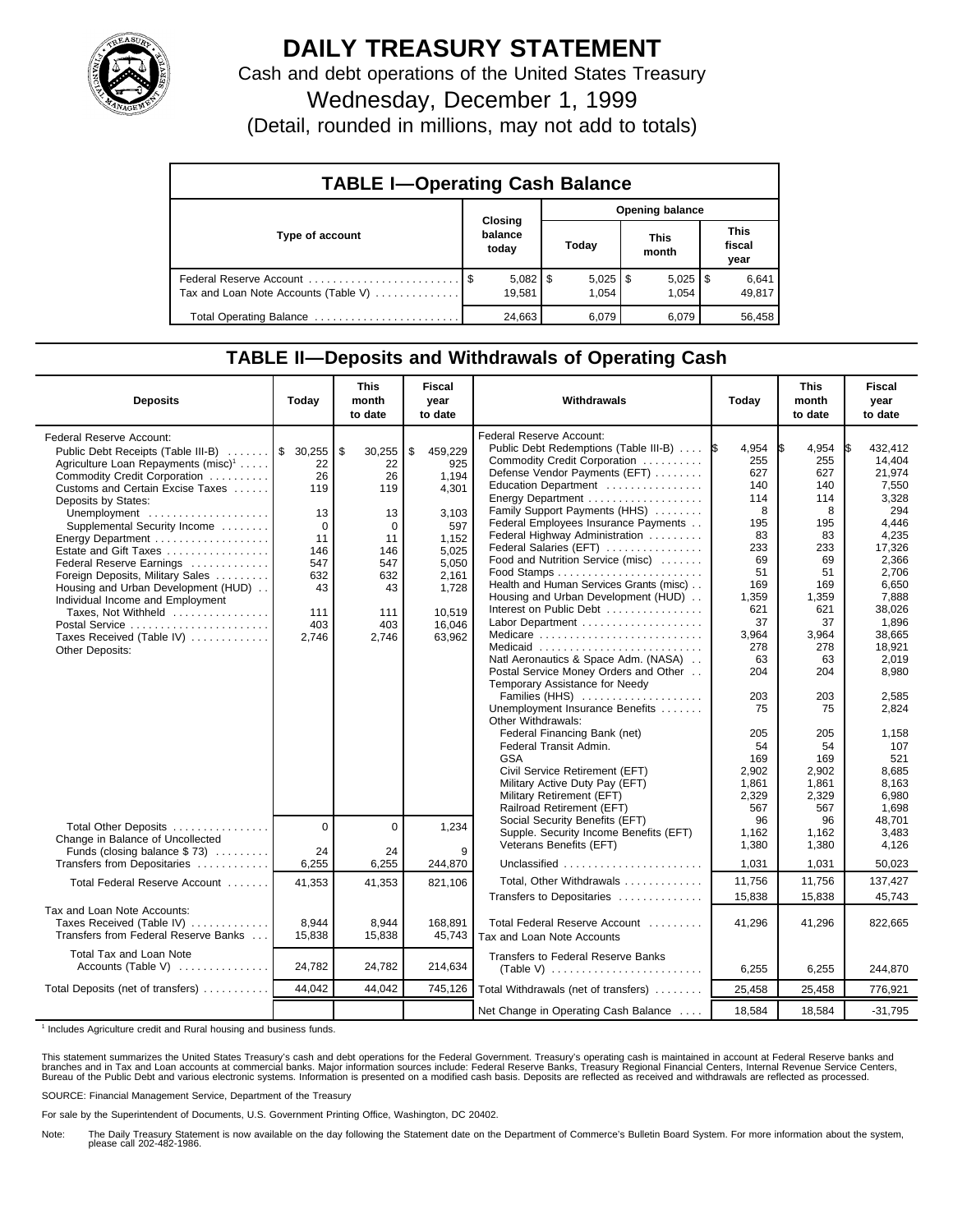

## **DAILY TREASURY STATEMENT**

Cash and debt operations of the United States Treasury

Wednesday, December 1, 1999

(Detail, rounded in millions, may not add to totals)

| <b>TABLE I-Operating Cash Balance</b> |                             |                        |                       |                               |  |  |  |  |
|---------------------------------------|-----------------------------|------------------------|-----------------------|-------------------------------|--|--|--|--|
|                                       |                             | <b>Opening balance</b> |                       |                               |  |  |  |  |
| Type of account                       | Closing<br>balance<br>today | Today                  | <b>This</b><br>month  | <b>This</b><br>fiscal<br>year |  |  |  |  |
| Tax and Loan Note Accounts (Table V)  | $5,082$   \$<br>19.581      | $5,025$   \$<br>1.054  | $5,025$   \$<br>1.054 | 6,641<br>49,817               |  |  |  |  |
| Total Operating Balance               | 24,663                      | 6,079                  | 6.079                 | 56,458                        |  |  |  |  |

## **TABLE II—Deposits and Withdrawals of Operating Cash**

| <b>Deposits</b>                                                                                                                                                                                                                                                                                                                                                                                                                                                                                                                                           | Today                                                                                        | <b>This</b><br>month<br>to date                                                                    | <b>Fiscal</b><br>year<br>to date                                                                                                  | Withdrawals                                                                                                                                                                                                                                                                                                                                                                                                                                                                                                                                                                                                                                                                                                                                                                                              | Today                                                                                                                                                                      | <b>This</b><br>month<br>to date                                                                                                                                            | <b>Fiscal</b><br>year<br>to date                                                                                                                                                                                                |
|-----------------------------------------------------------------------------------------------------------------------------------------------------------------------------------------------------------------------------------------------------------------------------------------------------------------------------------------------------------------------------------------------------------------------------------------------------------------------------------------------------------------------------------------------------------|----------------------------------------------------------------------------------------------|----------------------------------------------------------------------------------------------------|-----------------------------------------------------------------------------------------------------------------------------------|----------------------------------------------------------------------------------------------------------------------------------------------------------------------------------------------------------------------------------------------------------------------------------------------------------------------------------------------------------------------------------------------------------------------------------------------------------------------------------------------------------------------------------------------------------------------------------------------------------------------------------------------------------------------------------------------------------------------------------------------------------------------------------------------------------|----------------------------------------------------------------------------------------------------------------------------------------------------------------------------|----------------------------------------------------------------------------------------------------------------------------------------------------------------------------|---------------------------------------------------------------------------------------------------------------------------------------------------------------------------------------------------------------------------------|
| Federal Reserve Account:<br>Public Debt Receipts (Table III-B)  \$ 30,255<br>Agriculture Loan Repayments (misc) <sup>1</sup><br>Commodity Credit Corporation<br>Customs and Certain Excise Taxes<br>Deposits by States:<br>Unemployment<br>Supplemental Security Income<br>Energy Department<br>Estate and Gift Taxes<br>Federal Reserve Earnings<br>Foreign Deposits, Military Sales<br>Housing and Urban Development (HUD)<br>Individual Income and Employment<br>Taxes, Not Withheld<br>Postal Service<br>Taxes Received (Table IV)<br>Other Deposits: | 22<br>26<br>119<br>13<br>$\mathbf 0$<br>11<br>146<br>547<br>632<br>43<br>111<br>403<br>2.746 | \$<br>30,255<br>22<br>26<br>119<br>13<br>0<br>11<br>146<br>547<br>632<br>43<br>111<br>403<br>2.746 | \$<br>459,229<br>925<br>1.194<br>4,301<br>3.103<br>597<br>1,152<br>5,025<br>5,050<br>2,161<br>1,728<br>10.519<br>16,046<br>63.962 | Federal Reserve Account:<br>Public Debt Redemptions (Table III-B)  S<br>Commodity Credit Corporation<br>Defense Vendor Payments (EFT)<br>Education Department<br>Family Support Payments (HHS)<br>Federal Employees Insurance Payments<br>Federal Highway Administration<br>Federal Salaries (EFT)<br>Food and Nutrition Service (misc)<br>Health and Human Services Grants (misc)<br>Housing and Urban Development (HUD)<br>Interest on Public Debt<br>Labor Department<br>Medicare<br>Medicaid<br>Natl Aeronautics & Space Adm. (NASA)<br>Postal Service Money Orders and Other<br>Temporary Assistance for Needy<br>Families (HHS)<br>Unemployment Insurance Benefits<br>Other Withdrawals:<br>Federal Financing Bank (net)<br>Federal Transit Admin.<br><b>GSA</b><br>Civil Service Retirement (EFT) | 4,954<br>255<br>627<br>140<br>114<br>8<br>195<br>83<br>233<br>69<br>51<br>169<br>1,359<br>621<br>37<br>3,964<br>278<br>63<br>204<br>203<br>75<br>205<br>54<br>169<br>2,902 | 4,954<br>255<br>627<br>140<br>114<br>8<br>195<br>83<br>233<br>69<br>51<br>169<br>1,359<br>621<br>37<br>3,964<br>278<br>63<br>204<br>203<br>75<br>205<br>54<br>169<br>2,902 | 432,412<br>14.404<br>21.974<br>7,550<br>3,328<br>294<br>4.446<br>4.235<br>17,326<br>2,366<br>2,706<br>6,650<br>7.888<br>38,026<br>1,896<br>38,665<br>18.921<br>2.019<br>8,980<br>2,585<br>2,824<br>1,158<br>107<br>521<br>8.685 |
|                                                                                                                                                                                                                                                                                                                                                                                                                                                                                                                                                           |                                                                                              |                                                                                                    |                                                                                                                                   | Military Active Duty Pay (EFT)<br>Military Retirement (EFT)<br>Railroad Retirement (EFT)                                                                                                                                                                                                                                                                                                                                                                                                                                                                                                                                                                                                                                                                                                                 | 1,861<br>2,329<br>567                                                                                                                                                      | 1,861<br>2,329<br>567                                                                                                                                                      | 8,163<br>6,980<br>1,698                                                                                                                                                                                                         |
| Total Other Deposits<br>Change in Balance of Uncollected<br>Funds (closing balance $$ 73)$<br>Transfers from Depositaries                                                                                                                                                                                                                                                                                                                                                                                                                                 | $\overline{0}$<br>24<br>6,255                                                                | 0<br>24<br>6,255                                                                                   | 1,234<br>9<br>244,870                                                                                                             | Social Security Benefits (EFT)<br>Supple. Security Income Benefits (EFT)<br>Veterans Benefits (EFT)<br>Unclassified                                                                                                                                                                                                                                                                                                                                                                                                                                                                                                                                                                                                                                                                                      | 96<br>1,162<br>1,380<br>1,031                                                                                                                                              | 96<br>1,162<br>1,380<br>1,031                                                                                                                                              | 48,701<br>3,483<br>4,126<br>50,023                                                                                                                                                                                              |
| Total Federal Reserve Account                                                                                                                                                                                                                                                                                                                                                                                                                                                                                                                             | 41,353                                                                                       | 41,353                                                                                             | 821,106                                                                                                                           | Total, Other Withdrawals                                                                                                                                                                                                                                                                                                                                                                                                                                                                                                                                                                                                                                                                                                                                                                                 | 11,756                                                                                                                                                                     | 11,756                                                                                                                                                                     | 137,427                                                                                                                                                                                                                         |
| Tax and Loan Note Accounts:                                                                                                                                                                                                                                                                                                                                                                                                                                                                                                                               |                                                                                              |                                                                                                    |                                                                                                                                   | Transfers to Depositaries                                                                                                                                                                                                                                                                                                                                                                                                                                                                                                                                                                                                                                                                                                                                                                                | 15,838                                                                                                                                                                     | 15,838                                                                                                                                                                     | 45,743                                                                                                                                                                                                                          |
| Taxes Received (Table IV)<br>Transfers from Federal Reserve Banks                                                                                                                                                                                                                                                                                                                                                                                                                                                                                         | 8.944<br>15,838                                                                              | 8,944<br>15,838                                                                                    | 168,891<br>45,743                                                                                                                 | Total Federal Reserve Account<br>Tax and Loan Note Accounts                                                                                                                                                                                                                                                                                                                                                                                                                                                                                                                                                                                                                                                                                                                                              | 41,296                                                                                                                                                                     | 41,296                                                                                                                                                                     | 822,665                                                                                                                                                                                                                         |
| Total Tax and Loan Note<br>Accounts (Table V)                                                                                                                                                                                                                                                                                                                                                                                                                                                                                                             | 24,782                                                                                       | 24,782                                                                                             | 214,634                                                                                                                           | <b>Transfers to Federal Reserve Banks</b>                                                                                                                                                                                                                                                                                                                                                                                                                                                                                                                                                                                                                                                                                                                                                                | 6,255                                                                                                                                                                      | 6,255                                                                                                                                                                      | 244.870                                                                                                                                                                                                                         |
| Total Deposits (net of transfers)                                                                                                                                                                                                                                                                                                                                                                                                                                                                                                                         | 44,042                                                                                       | 44,042                                                                                             | 745,126                                                                                                                           | Total Withdrawals (net of transfers)                                                                                                                                                                                                                                                                                                                                                                                                                                                                                                                                                                                                                                                                                                                                                                     | 25,458                                                                                                                                                                     | 25,458                                                                                                                                                                     | 776,921                                                                                                                                                                                                                         |
|                                                                                                                                                                                                                                                                                                                                                                                                                                                                                                                                                           |                                                                                              |                                                                                                    |                                                                                                                                   | Net Change in Operating Cash Balance                                                                                                                                                                                                                                                                                                                                                                                                                                                                                                                                                                                                                                                                                                                                                                     | 18,584                                                                                                                                                                     | 18,584                                                                                                                                                                     | $-31,795$                                                                                                                                                                                                                       |

<sup>1</sup> Includes Agriculture credit and Rural housing and business funds.

This statement summarizes the United States Treasury's cash and debt operations for the Federal Government. Treasury's operating cash is maintained in account at Federal Reserve banks and<br>branches and in Tax and Loan accou

SOURCE: Financial Management Service, Department of the Treasury

For sale by the Superintendent of Documents, U.S. Government Printing Office, Washington, DC 20402.

Note: The Daily Treasury Statement is now available on the day following the Statement date on the Department of Commerce's Bulletin Board System. For more information about the system, please call 202-482-1986.